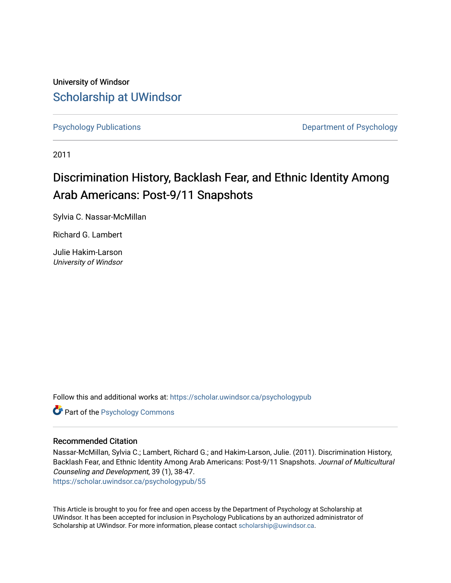University of Windsor [Scholarship at UWindsor](https://scholar.uwindsor.ca/) 

[Psychology Publications](https://scholar.uwindsor.ca/psychologypub) **Department of Psychology** 

2011

# Discrimination History, Backlash Fear, and Ethnic Identity Among Arab Americans: Post-9/11 Snapshots

Sylvia C. Nassar-McMillan

Richard G. Lambert

Julie Hakim-Larson University of Windsor

Follow this and additional works at: [https://scholar.uwindsor.ca/psychologypub](https://scholar.uwindsor.ca/psychologypub?utm_source=scholar.uwindsor.ca%2Fpsychologypub%2F55&utm_medium=PDF&utm_campaign=PDFCoverPages) 

Part of the [Psychology Commons](http://network.bepress.com/hgg/discipline/404?utm_source=scholar.uwindsor.ca%2Fpsychologypub%2F55&utm_medium=PDF&utm_campaign=PDFCoverPages) 

#### Recommended Citation

Nassar-McMillan, Sylvia C.; Lambert, Richard G.; and Hakim-Larson, Julie. (2011). Discrimination History, Backlash Fear, and Ethnic Identity Among Arab Americans: Post-9/11 Snapshots. Journal of Multicultural Counseling and Development, 39 (1), 38-47. [https://scholar.uwindsor.ca/psychologypub/55](https://scholar.uwindsor.ca/psychologypub/55?utm_source=scholar.uwindsor.ca%2Fpsychologypub%2F55&utm_medium=PDF&utm_campaign=PDFCoverPages)

This Article is brought to you for free and open access by the Department of Psychology at Scholarship at UWindsor. It has been accepted for inclusion in Psychology Publications by an authorized administrator of Scholarship at UWindsor. For more information, please contact [scholarship@uwindsor.ca.](mailto:scholarship@uwindsor.ca)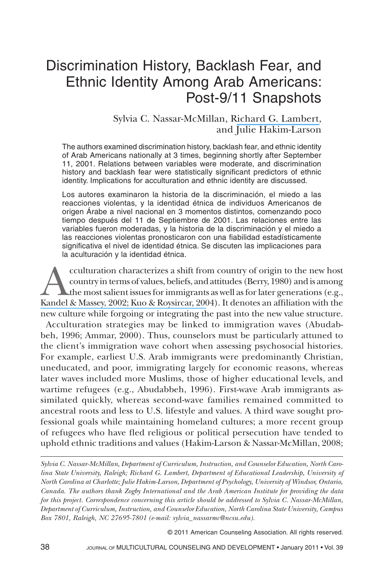### Discrimination History, Backlash Fear, and Ethnic Identity Among Arab Americans: Post-9/11 Snapshots

#### Sylvia C. Nassar-McMillan, Richard G. [Lambert,](https://www.researchgate.net/profile/Richard_Lambert6?el=1_x_100&enrichId=rgreq-29529accd7580856cb485ae27c83c6c8-XXX&enrichSource=Y292ZXJQYWdlOzI2NDQ3MTIxMztBUzo0ODU0MDYxOTA5MDMyOTZAMTQ5Mjc0MTI2Mjk2Nw==) and Julie Hakim-Larson

The authors examined discrimination history, backlash fear, and ethnic identity of Arab Americans nationally at 3 times, beginning shortly after September 11, 2001. Relations between variables were moderate, and discrimination history and backlash fear were statistically significant predictors of ethnic identity. Implications for acculturation and ethnic identity are discussed.

Los autores examinaron la historia de la discriminación, el miedo a las reacciones violentas, y la identidad étnica de individuos Americanos de origen Árabe a nivel nacional en 3 momentos distintos, comenzando poco tiempo después del 11 de Septiembre de 2001. Las relaciones entre las variables fueron moderadas, y la historia de la discriminación y el miedo a las reacciones violentas pronosticaron con una fiabilidad estadísticamente significativa el nivel de identidad étnica. Se discuten las implicaciones para la aculturación y la identidad étnica.

cculturation characterizes a shift from country of origin to the new host country in terms of values, beliefs, and attitudes (Berry, 1980) and is among the most salient issues for immigrants as well as for later generations (e.g., Kandel & Massey, 2002; Kuo & [Roysircar,](https://www.researchgate.net/publication/298870613_Predictors_of_acculturation_for_Chinese_adolescents_in_Canada_Age_of_arrival_length_of_stay_social_class_and_English_reading_ability?el=1_x_8&enrichId=rgreq-29529accd7580856cb485ae27c83c6c8-XXX&enrichSource=Y292ZXJQYWdlOzI2NDQ3MTIxMztBUzo0ODU0MDYxOTA5MDMyOTZAMTQ5Mjc0MTI2Mjk2Nw==) 2004). It denotes an affiliation with the new culture while forgoing or integrating the past into the new value structure. Acculturation strategies may be linked to immigration waves (Abudabbeh, 1996; Ammar, 2000). Thus, counselors must be particularly attuned to the client's immigration wave cohort when assessing psychosocial histories. For example, earliest U.S. Arab immigrants were predominantly Christian, uneducated, and poor, immigrating largely for economic reasons, whereas later waves included more Muslims, those of higher educational levels, and wartime refugees (e.g., Abudabbeh, 1996). First-wave Arab immigrants assimilated quickly, whereas second-wave families remained committed to ancestral roots and less to U.S. lifestyle and values. A third wave sought professional goals while maintaining homeland cultures; a more recent group of refugees who have fled religious or political persecution have tended to

*Sylvia C. Nassar-McMillan, Department of Curriculum, Instruction, and Counselor Education, North Carolina State University, Raleigh; Richard G. Lambert, Department of Educational Leadership, University of North Carolina at Charlotte; Julie Hakim-Larson, Department of Psychology, University of Windsor, Ontario, Canada. The authors thank Zogby International and the Arab American Institute for providing the data for this project. Correspondence concerning this article should be addressed to Sylvia C. Nassar-McMillan, Department of Curriculum, Instruction, and Counselor Education, North Carolina State University, Campus Box 7801, Raleigh, NC 27695-7801 (e-mail: sylvia\_nassarmc@ncsu.edu).*

uphold ethnic traditions and values (Hakim-Larson & Nassar-McMillan, 2008;

© 2011 American Counseling Association. All rights reserved.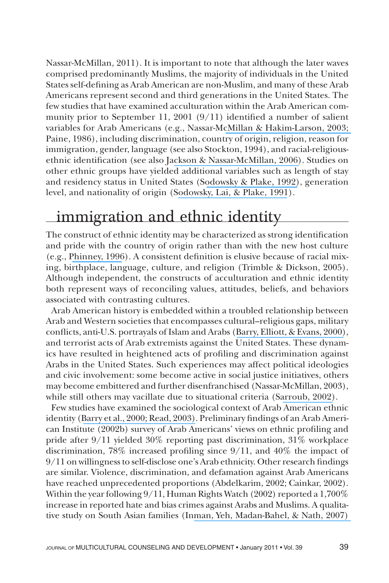Nassar-McMillan, 2011). It is important to note that although the later waves comprised predominantly Muslims, the majority of individuals in the United States self-defining as Arab American are non-Muslim, and many of these Arab Americans represent second and third generations in the United States. The few studies that have examined acculturation within the Arab American community prior to September 11, 2001 (9/11) identified a number of salient variables for Arab Americans (e.g., Nassar-McMillan & [Hakim-Larson,](https://www.researchgate.net/publication/263718522_Counseling_Considerations_Among_Arab_Americans?el=1_x_8&enrichId=rgreq-29529accd7580856cb485ae27c83c6c8-XXX&enrichSource=Y292ZXJQYWdlOzI2NDQ3MTIxMztBUzo0ODU0MDYxOTA5MDMyOTZAMTQ5Mjc0MTI2Mjk2Nw==) 2003; Paine, 1986), including discrimination, country of origin, religion, reason for immigration, gender, language (see also Stockton, 1994), and racial-religiousethnic identification (see also Jackson & [Nassar-McMillan,](https://www.researchgate.net/publication/232465698_Counseling_Arab_Americans?el=1_x_8&enrichId=rgreq-29529accd7580856cb485ae27c83c6c8-XXX&enrichSource=Y292ZXJQYWdlOzI2NDQ3MTIxMztBUzo0ODU0MDYxOTA5MDMyOTZAMTQ5Mjc0MTI2Mjk2Nw==) 2006). Studies on other ethnic groups have yielded additional variables such as length of stay and residency status in United States (S[odowsky](https://www.researchgate.net/publication/232497997_A_Study_of_Acculturation_Differences_Among_International_People_and_Suggestions_for_Sensitivity_to_Within-Group_Differences?el=1_x_8&enrichId=rgreq-29529accd7580856cb485ae27c83c6c8-XXX&enrichSource=Y292ZXJQYWdlOzI2NDQ3MTIxMztBUzo0ODU0MDYxOTA5MDMyOTZAMTQ5Mjc0MTI2Mjk2Nw==) & Plake, 1992), generation level, and nationality of origin (S[odowsky,](https://www.researchgate.net/publication/263718758_Moderating_Effects_of_Sociocultural_Variables_on_Acculturation_Attitudes_of_Hispanics_and_Asian_Americans?el=1_x_8&enrichId=rgreq-29529accd7580856cb485ae27c83c6c8-XXX&enrichSource=Y292ZXJQYWdlOzI2NDQ3MTIxMztBUzo0ODU0MDYxOTA5MDMyOTZAMTQ5Mjc0MTI2Mjk2Nw==) Lai, & Plake, 1991).

# immigration and ethnic identity

The construct of ethnic identity may be characterized as strong identification and pride with the country of origin rather than with the new host culture (e.g., [Phinney,](https://www.researchgate.net/publication/232589420_When_We_Talk_about_American_Ethnic_Groups_What_Do_We_Mean?el=1_x_8&enrichId=rgreq-29529accd7580856cb485ae27c83c6c8-XXX&enrichSource=Y292ZXJQYWdlOzI2NDQ3MTIxMztBUzo0ODU0MDYxOTA5MDMyOTZAMTQ5Mjc0MTI2Mjk2Nw==) 1996). A consistent definition is elusive because of racial mixing, birthplace, language, culture, and religion (Trimble & Dickson, 2005). Although independent, the constructs of acculturation and ethnic identity both represent ways of reconciling values, attitudes, beliefs, and behaviors associated with contrasting cultures.

Arab American history is embedded within a troubled relationship between Arab and Western societies that encompasses cultural–religious gaps, military conflicts, anti-U.S. portrayals of Islam and Arabs (Barry, [Elliott,](https://www.researchgate.net/publication/227086417_Foreigners_in_a_Strange_Land_Self-Construal_and_Ethnic_Identity_in_Male_Arabic_Immigrants?el=1_x_8&enrichId=rgreq-29529accd7580856cb485ae27c83c6c8-XXX&enrichSource=Y292ZXJQYWdlOzI2NDQ3MTIxMztBUzo0ODU0MDYxOTA5MDMyOTZAMTQ5Mjc0MTI2Mjk2Nw==) & Evans, 2000), and terrorist acts of Arab extremists against the United States. These dynamics have resulted in heightened acts of profiling and discrimination against Arabs in the United States. Such experiences may affect political ideologies and civic involvement: some become active in social justice initiatives, others may become embittered and further disenfranchised (Nassar-McMillan, 2003), while still others may vacillate due to situational criteria (S[arroub,](https://www.researchgate.net/publication/227526773_From_Neologisms_to_Social_Practice_An_Analysis_of_the_Wanding_of_America?el=1_x_8&enrichId=rgreq-29529accd7580856cb485ae27c83c6c8-XXX&enrichSource=Y292ZXJQYWdlOzI2NDQ3MTIxMztBUzo0ODU0MDYxOTA5MDMyOTZAMTQ5Mjc0MTI2Mjk2Nw==) 2002).

Few studies have examined the sociological context of Arab American ethnic identity (Barry et al., [2000;](https://www.researchgate.net/publication/227086417_Foreigners_in_a_Strange_Land_Self-Construal_and_Ethnic_Identity_in_Male_Arabic_Immigrants?el=1_x_8&enrichId=rgreq-29529accd7580856cb485ae27c83c6c8-XXX&enrichSource=Y292ZXJQYWdlOzI2NDQ3MTIxMztBUzo0ODU0MDYxOTA5MDMyOTZAMTQ5Mjc0MTI2Mjk2Nw==) Read, [2003\)](https://www.researchgate.net/publication/273746997_The_Sources_of_Gender_Role_Attitudes_Among_Christian_and_Muslim_Arab-American_Women?el=1_x_8&enrichId=rgreq-29529accd7580856cb485ae27c83c6c8-XXX&enrichSource=Y292ZXJQYWdlOzI2NDQ3MTIxMztBUzo0ODU0MDYxOTA5MDMyOTZAMTQ5Mjc0MTI2Mjk2Nw==). Preliminary findings of an Arab American Institute (2002b) survey of Arab Americans' views on ethnic profiling and pride after 9/11 yielded 30% reporting past discrimination, 31% workplace discrimination, 78% increased profiling since 9/11, and 40% the impact of 9/11 on willingness to self-disclose one's Arab ethnicity. Other research findings are similar. Violence, discrimination, and defamation against Arab Americans have reached unprecedented proportions (Abdelkarim, 2002; Cainkar, 2002). Within the year following  $9/11$ , Human Rights Watch (2002) reported a 1,700% increase in reported hate and bias crimes against Arabs and Muslims. A qualitative study on South Asian families (Inman, Yeh, [Madan-Bahel,](https://www.researchgate.net/publication/232542749_Bereavement_and_Coping_of_south_Asian_Families_post_911?el=1_x_8&enrichId=rgreq-29529accd7580856cb485ae27c83c6c8-XXX&enrichSource=Y292ZXJQYWdlOzI2NDQ3MTIxMztBUzo0ODU0MDYxOTA5MDMyOTZAMTQ5Mjc0MTI2Mjk2Nw==) & Nath, 2007)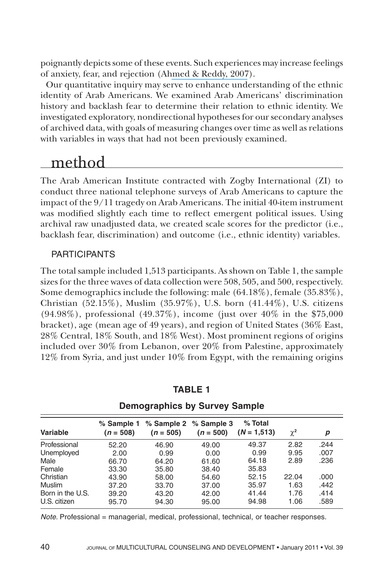poignantly depicts some of these events. Such experiences may increase feelings of anxiety, fear, and rejection (Ahmed & [Reddy,](https://www.researchgate.net/publication/234679639_Understanding_the_Mental_Health_Needs_of_American_Muslims_Recommendations_and_Considerations_for_Practice?el=1_x_8&enrichId=rgreq-29529accd7580856cb485ae27c83c6c8-XXX&enrichSource=Y292ZXJQYWdlOzI2NDQ3MTIxMztBUzo0ODU0MDYxOTA5MDMyOTZAMTQ5Mjc0MTI2Mjk2Nw==) 2007).

Our quantitative inquiry may serve to enhance understanding of the ethnic identity of Arab Americans. We examined Arab Americans' discrimination history and backlash fear to determine their relation to ethnic identity. We investigated exploratory, nondirectional hypotheses for our secondary analyses of archived data, with goals of measuring changes over time as well as relations with variables in ways that had not been previously examined.

# method

The Arab American Institute contracted with Zogby International (ZI) to conduct three national telephone surveys of Arab Americans to capture the impact of the 9/11 tragedy on Arab Americans. The initial 40-item instrument was modified slightly each time to reflect emergent political issues. Using archival raw unadjusted data, we created scale scores for the predictor (i.e., backlash fear, discrimination) and outcome (i.e., ethnic identity) variables.

#### PARTICIPANTS

The total sample included 1,513 participants. As shown on Table 1, the sample sizes for the three waves of data collection were 508, 505, and 500, respectively. Some demographics include the following: male (64.18%), female (35.83%), Christian (52.15%), Muslim (35.97%), U.S. born (41.44%), U.S. citizens  $(94.98\%)$ , professional  $(49.37\%)$ , income (just over  $40\%$  in the \$75,000 bracket), age (mean age of 49 years), and region of United States (36% East, 28% Central, 18% South, and 18% West). Most prominent regions of origins included over 30% from Lebanon, over 20% from Palestine, approximately 12% from Syria, and just under 10% from Egypt, with the remaining origins

| Variable                         | % Sample 1<br>$(n = 508)$ | $(n = 505)$    | % Sample 2 % Sample 3<br>$(n = 500)$ | $%$ Total<br>$(N = 1.513)$ | $\chi^2$     | р            |  |
|----------------------------------|---------------------------|----------------|--------------------------------------|----------------------------|--------------|--------------|--|
| Professional                     | 52.20                     | 46.90          | 49.00                                | 49.37                      | 2.82         | .244         |  |
| Unemployed                       | 2.00                      | 0.99           | 0.00                                 | 0.99                       | 9.95         | .007         |  |
| Male                             | 66.70                     | 64.20          | 61.60                                | 64.18                      | 2.89         | .236         |  |
| Female                           | 33.30                     | 35.80          | 38.40                                | 35.83                      |              |              |  |
| Christian                        | 43.90                     | 58.00          | 54.60                                | 52.15                      | 22.04        | .000         |  |
| <b>Muslim</b>                    | 37.20                     | 33.70          | 37.00                                | 35.97                      | 1.63         | .442         |  |
| Born in the U.S.<br>U.S. citizen | 39.20<br>95.70            | 43.20<br>94.30 | 42.00<br>95.00                       | 41.44<br>94.98             | 1.76<br>1.06 | .414<br>.589 |  |

#### **TABLE 1**

**Demographics by Survey Sample**

*Note.* Professional = managerial, medical, professional, technical, or teacher responses.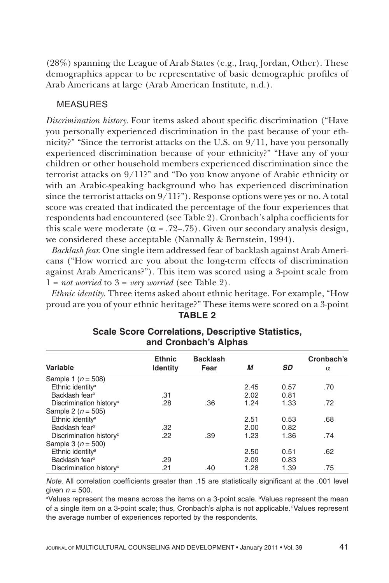(28%) spanning the League of Arab States (e.g., Iraq, Jordan, Other). These demographics appear to be representative of basic demographic profiles of Arab Americans at large (Arab American Institute, n.d.).

#### MEASURES

*Discrimination history.* Four items asked about specific discrimination ("Have you personally experienced discrimination in the past because of your ethnicity?" "Since the terrorist attacks on the U.S. on  $9/11$ , have you personally experienced discrimination because of your ethnicity?" "Have any of your children or other household members experienced discrimination since the terrorist attacks on 9/11?" and "Do you know anyone of Arabic ethnicity or with an Arabic-speaking background who has experienced discrimination since the terrorist attacks on 9/11?"). Response options were yes or no. A total score was created that indicated the percentage of the four experiences that respondents had encountered (see Table 2). Cronbach's alpha coefficients for this scale were moderate ( $\alpha = .72-.75$ ). Given our secondary analysis design, we considered these acceptable (Nannally & Bernstein, 1994).

*Backlash fear.* One single item addressed fear of backlash against Arab Americans ("How worried are you about the long-term effects of discrimination against Arab Americans?"). This item was scored using a 3-point scale from  $1 = not$  *worried* to  $3 = very$  *worried* (see Table 2).

*Ethnic identity.* Three items asked about ethnic heritage. For example, "How proud are you of your ethnic heritage?" These items were scored on a 3-point **TABLE 2**

|                                     | <b>Ethnic</b>   | <b>Backlash</b> |      |           | Cronbach's |  |
|-------------------------------------|-----------------|-----------------|------|-----------|------------|--|
| Variable                            | <b>Identity</b> | Fear            | М    | <b>SD</b> | $\alpha$   |  |
| Sample 1 ( $n = 508$ )              |                 |                 |      |           |            |  |
| Ethnic identity <sup>a</sup>        |                 |                 | 2.45 | 0.57      | .70        |  |
| Backlash fearb                      | .31             |                 | 2.02 | 0.81      |            |  |
| Discrimination history <sup>c</sup> | .28             | .36             | 1.24 | 1.33      | .72        |  |
| Sample 2 ( $n = 505$ )              |                 |                 |      |           |            |  |
| Ethnic identity <sup>a</sup>        |                 |                 | 2.51 | 0.53      | .68        |  |
| Backlash fear <sup>b</sup>          | .32             |                 | 2.00 | 0.82      |            |  |
| Discrimination history <sup>c</sup> | .22             | .39             | 1.23 | 1.36      | .74        |  |
| Sample 3 ( $n = 500$ )              |                 |                 |      |           |            |  |
| Ethnic identity <sup>a</sup>        |                 |                 | 2.50 | 0.51      | .62        |  |
| Backlash fear <sup>b</sup>          | .29             |                 | 2.09 | 0.83      |            |  |
| Discrimination history <sup>c</sup> | .21             | .40             | 1.28 | 1.39      | .75        |  |

#### **Scale Score Correlations, Descriptive Statistics, and Cronbach's Alphas**

*Note.* All correlation coefficients greater than .15 are statistically significant at the .001 level given  $n = 500$ .

aValues represent the means across the items on a 3-point scale. bValues represent the mean of a single item on a 3-point scale; thus, Cronbach's alpha is not applicable. Values represent the average number of experiences reported by the respondents.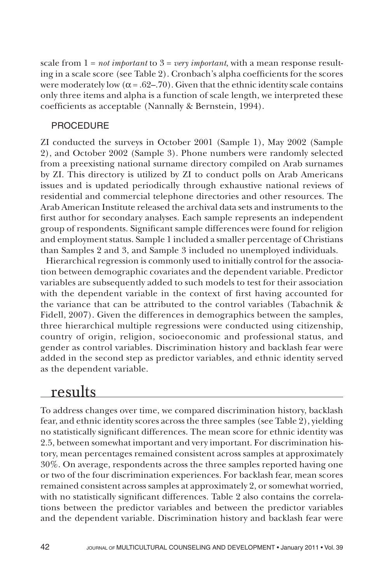scale from  $1 = not important$  to  $3 = very important$ , with a mean response resulting in a scale score (see Table 2). Cronbach's alpha coefficients for the scores were moderately low ( $\alpha$  = .62–.70). Given that the ethnic identity scale contains only three items and alpha is a function of scale length, we interpreted these coefficients as acceptable (Nannally & Bernstein, 1994).

#### PROCEDURE

ZI conducted the surveys in October 2001 (Sample 1), May 2002 (Sample 2), and October 2002 (Sample 3). Phone numbers were randomly selected from a preexisting national surname directory compiled on Arab surnames by ZI. This directory is utilized by ZI to conduct polls on Arab Americans issues and is updated periodically through exhaustive national reviews of residential and commercial telephone directories and other resources. The Arab American Institute released the archival data sets and instruments to the first author for secondary analyses. Each sample represents an independent group of respondents. Significant sample differences were found for religion and employment status. Sample 1 included a smaller percentage of Christians than Samples 2 and 3, and Sample 3 included no unemployed individuals.

Hierarchical regression is commonly used to initially control for the association between demographic covariates and the dependent variable. Predictor variables are subsequently added to such models to test for their association with the dependent variable in the context of first having accounted for the variance that can be attributed to the control variables (Tabachnik & Fidell, 2007). Given the differences in demographics between the samples, three hierarchical multiple regressions were conducted using citizenship, country of origin, religion, socioeconomic and professional status, and gender as control variables. Discrimination history and backlash fear were added in the second step as predictor variables, and ethnic identity served as the dependent variable.

### results

To address changes over time, we compared discrimination history, backlash fear, and ethnic identity scores across the three samples (see Table 2), yielding no statistically significant differences. The mean score for ethnic identity was 2.5, between somewhat important and very important. For discrimination history, mean percentages remained consistent across samples at approximately 30%. On average, respondents across the three samples reported having one or two of the four discrimination experiences. For backlash fear, mean scores remained consistent across samples at approximately 2, or somewhat worried, with no statistically significant differences. Table 2 also contains the correlations between the predictor variables and between the predictor variables and the dependent variable. Discrimination history and backlash fear were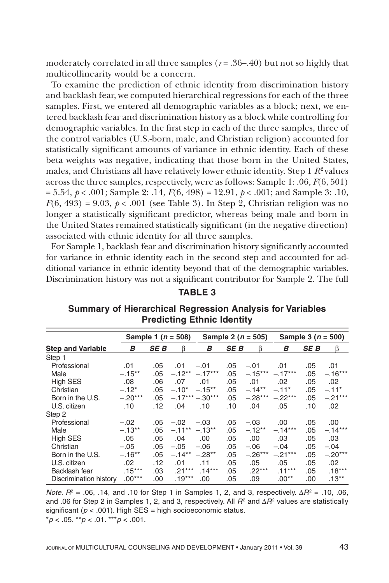moderately correlated in all three samples  $(r = .36 - .40)$  but not so highly that multicollinearity would be a concern.

To examine the prediction of ethnic identity from discrimination history and backlash fear, we computed hierarchical regressions for each of the three samples. First, we entered all demographic variables as a block; next, we entered backlash fear and discrimination history as a block while controlling for demographic variables. In the first step in each of the three samples, three of the control variables (U.S.-born, male, and Christian religion) accounted for statistically significant amounts of variance in ethnic identity. Each of these beta weights was negative, indicating that those born in the United States, males, and Christians all have relatively lower ethnic identity. Step 1  $R^2$  values across the three samples, respectively, were as follows: Sample 1: .06, *F*(6, 501) = 5.54, *p* < .001; Sample 2: .14, *F*(6, 498) = 12.91, *p* < .001; and Sample 3: .10,  $F(6, 493) = 9.03$ ,  $p < .001$  (see Table 3). In Step 2, Christian religion was no longer a statistically significant predictor, whereas being male and born in the United States remained statistically significant (in the negative direction) associated with ethnic identity for all three samples.

For Sample 1, backlash fear and discrimination history significantly accounted for variance in ethnic identity each in the second step and accounted for additional variance in ethnic identity beyond that of the demographic variables. Discrimination history was not a significant contributor for Sample 2. The full

#### **TABLE 3**

|                          | Sample 1 ( $n = 508$ ) |            | Sample 2 ( $n = 505$ ) |                  | Sample 3 ( $n = 500$ ) |           |           |            |           |
|--------------------------|------------------------|------------|------------------------|------------------|------------------------|-----------|-----------|------------|-----------|
| <b>Step and Variable</b> | в                      | <b>SEB</b> | β                      | В                | <b>SEB</b>             | ß         | B         | <b>SEB</b> | β         |
| Step 1                   |                        |            |                        |                  |                        |           |           |            |           |
| Professional             | .01                    | .05        | .01                    | $-.01$           | .05                    | $-.01$    | .01       | .05        | .01       |
| Male                     | $-.15***$              | .05        | $-.12**$               | $-.17***$        | .05                    | $-.15***$ | $-.17***$ | .05        | $-.16***$ |
| <b>High SES</b>          | .08                    | .06        | .07                    | .01              | .05                    | .01       | .02       | .05        | .02       |
| Christian                | $-.12*$                | .05        | $-.10*$                | $-.15***$        | .05                    | $-.14**$  | $-.11*$   | .05        | $-.11*$   |
| Born in the U.S.         | $-.20***$              | .05        |                        | $-.17***-.30***$ | .05                    | $-.28***$ | $-.22***$ | .05        | $-.21***$ |
| U.S. citizen             | .10                    | .12        | .04                    | .10              | .10                    | .04       | .05       | .10        | .02       |
| Step 2                   |                        |            |                        |                  |                        |           |           |            |           |
| Professional             | $-.02$                 | .05        | $-.02$                 | $-.03$           | .05                    | $-.03$    | .00       | .05        | .00.      |
| Male                     | $-.13**$               | .05        | $-.11***-.13**$        |                  | .05                    | $-.12**$  | $-.14***$ | .05        | $-.14***$ |
| High SES                 | .05                    | .05        | .04                    | .00              | .05                    | .00       | .03       | .05        | .03       |
| Christian                | $-.05$                 | .05        | $-.05$                 | $-.06$           | .05                    | $-.06$    | $-.04$    | .05        | $-.04$    |
| Born in the U.S.         | $-.16**$               | .05        | $-.14**$               | $-.28**$         | .05                    | $-.26***$ | $-.21***$ | .05        | $-.20***$ |
| U.S. citizen             | .02                    | .12        | .01                    | .11              | .05                    | .05       | .05       | .05        | .02       |
| Backlash fear            | $.15***$               | .03        | $.21***$               | $.14***$         | .05                    | $.22***$  | $.11***$  | .05        | $.18***$  |
| Discrimination history   | $.00***$               | .00        | $.19***$               | .00              | .05                    | .09       | $.00**$   | .00        | $.13***$  |

**Summary of Hierarchical Regression Analysis for Variables Predicting Ethnic Identity**

*Note.*  $R^2 = .06$ , .14, and .10 for Step 1 in Samples 1, 2, and 3, respectively.  $\Delta R^2 = .10$ , .06, and .06 for Step 2 in Samples 1, 2, and 3, respectively. All  $R^2$  and  $\Delta R^2$  values are statistically significant ( $p < .001$ ). High SES = high socioeconomic status. \**p* < .05. \*\**p* < .01. \*\*\**p* < .001.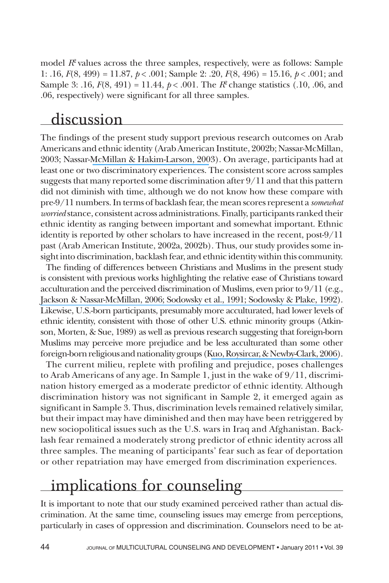model *R*<sup>2</sup> values across the three samples, respectively, were as follows: Sample 1: .16, *F*(8, 499) = 11.87, *p* < .001; Sample 2: .20, *F*(8, 496) = 15.16, *p* < .001; and Sample 3: .16,  $F(8, 491) = 11.44$ ,  $p < .001$ . The  $R^2$  change statistics (.10, .06, and .06, respectively) were significant for all three samples.

## discussion

The findings of the present study support previous research outcomes on Arab Americans and ethnic identity (ArabAmerican Institute, 2002b; Nassar-McMillan, 2003; Nassar-McMillan & [Hakim-Larson,](https://www.researchgate.net/publication/263718522_Counseling_Considerations_Among_Arab_Americans?el=1_x_8&enrichId=rgreq-29529accd7580856cb485ae27c83c6c8-XXX&enrichSource=Y292ZXJQYWdlOzI2NDQ3MTIxMztBUzo0ODU0MDYxOTA5MDMyOTZAMTQ5Mjc0MTI2Mjk2Nw==) 2003). On average, participants had at least one or two discriminatory experiences. The consistent score across samples suggests that many reported some discrimination after  $9/11$  and that this pattern did not diminish with time, although we do not know how these compare with pre-9/11 numbers. In terms of backlash fear, the mean scores represent a *somewhat worried* stance, consistent across administrations. Finally, participants ranked their ethnic identity as ranging between important and somewhat important. Ethnic identity is reported by other scholars to have increased in the recent, post-9/11 past (Arab American Institute, 2002a, 2002b). Thus, our study provides some insight into discrimination, backlash fear, and ethnic identity within this community.

The finding of differences between Christians and Muslims in the present study is consistent with previous works highlighting the relative ease of Christians toward acculturation and the perceived discrimination of Muslims, even prior to  $9/11$  (e.g., Jackson & [Nassar-McMillan,](https://www.researchgate.net/publication/232465698_Counseling_Arab_Americans?el=1_x_8&enrichId=rgreq-29529accd7580856cb485ae27c83c6c8-XXX&enrichSource=Y292ZXJQYWdlOzI2NDQ3MTIxMztBUzo0ODU0MDYxOTA5MDMyOTZAMTQ5Mjc0MTI2Mjk2Nw==) 2006; [Sodowsky](https://www.researchgate.net/publication/263718758_Moderating_Effects_of_Sociocultural_Variables_on_Acculturation_Attitudes_of_Hispanics_and_Asian_Americans?el=1_x_8&enrichId=rgreq-29529accd7580856cb485ae27c83c6c8-XXX&enrichSource=Y292ZXJQYWdlOzI2NDQ3MTIxMztBUzo0ODU0MDYxOTA5MDMyOTZAMTQ5Mjc0MTI2Mjk2Nw==) et al., 1991; [Sodowsky](https://www.researchgate.net/publication/232497997_A_Study_of_Acculturation_Differences_Among_International_People_and_Suggestions_for_Sensitivity_to_Within-Group_Differences?el=1_x_8&enrichId=rgreq-29529accd7580856cb485ae27c83c6c8-XXX&enrichSource=Y292ZXJQYWdlOzI2NDQ3MTIxMztBUzo0ODU0MDYxOTA5MDMyOTZAMTQ5Mjc0MTI2Mjk2Nw==) & Plake, 1992). Likewise, U.S.-born participants, presumably more acculturated, had lower levels of ethnic identity, consistent with those of other U.S. ethnic minority groups (Atkinson, Morten, & Sue, 1989) as well as previous research suggesting that foreign-born Muslims may perceive more prejudice and be less acculturated than some other foreign-born religious and nationality groups (Kuo, Roysircar, & Newby-Clark, 2006).

The current milieu, replete with profiling and prejudice, poses challenges to Arab Americans of any age. In Sample 1, just in the wake of 9/11, discrimination history emerged as a moderate predictor of ethnic identity. Although discrimination history was not significant in Sample 2, it emerged again as significant in Sample 3. Thus, discrimination levels remained relatively similar, but their impact may have diminished and then may have been retriggered by new sociopolitical issues such as the U.S. wars in Iraq and Afghanistan. Backlash fear remained a moderately strong predictor of ethnic identity across all three samples. The meaning of participants' fear such as fear of deportation or other repatriation may have emerged from discrimination experiences.

# implications for counseling

It is important to note that our study examined perceived rather than actual discrimination. At the same time, counseling issues may emerge from perceptions, particularly in cases of oppression and discrimination. Counselors need to be at-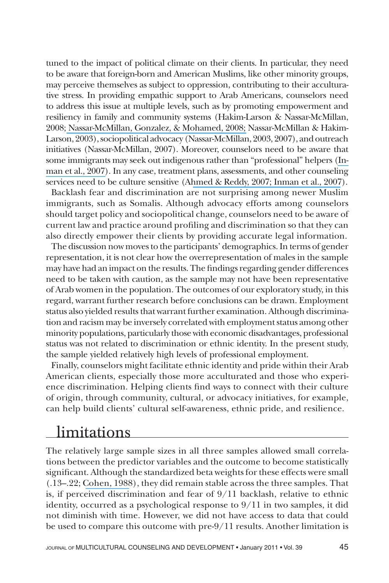tuned to the impact of political climate on their clients. In particular, they need to be aware that foreign-born and American Muslims, like other minority groups, may perceive themselves as subject to oppression, contributing to their acculturative stress. In providing empathic support to Arab Americans, counselors need to address this issue at multiple levels, such as by promoting empowerment and resiliency in family and community systems (Hakim-Larson & Nassar-McMillan, 2008; [Nassar-McMillan,](https://www.researchgate.net/publication/313597765_Individuals_and_families_of_Arab_descent?el=1_x_8&enrichId=rgreq-29529accd7580856cb485ae27c83c6c8-XXX&enrichSource=Y292ZXJQYWdlOzI2NDQ3MTIxMztBUzo0ODU0MDYxOTA5MDMyOTZAMTQ5Mjc0MTI2Mjk2Nw==) Gonzalez, & Mohamed, 2008; Nassar-McMillan & Hakim-Larson, 2003), sociopolitical advocacy (Nassar-McMillan, 2003, 2007), and outreach initiatives (Nassar-McMillan, 2007). Moreover, counselors need to be aware that some immigrants may seek out indigenous rather than "professional" helpers [\(In](https://www.researchgate.net/publication/232542749_Bereavement_and_Coping_of_south_Asian_Families_post_911?el=1_x_8&enrichId=rgreq-29529accd7580856cb485ae27c83c6c8-XXX&enrichSource=Y292ZXJQYWdlOzI2NDQ3MTIxMztBUzo0ODU0MDYxOTA5MDMyOTZAMTQ5Mjc0MTI2Mjk2Nw==)man et al., [2007\)](https://www.researchgate.net/publication/232542749_Bereavement_and_Coping_of_south_Asian_Families_post_911?el=1_x_8&enrichId=rgreq-29529accd7580856cb485ae27c83c6c8-XXX&enrichSource=Y292ZXJQYWdlOzI2NDQ3MTIxMztBUzo0ODU0MDYxOTA5MDMyOTZAMTQ5Mjc0MTI2Mjk2Nw==). In any case, treatment plans, assessments, and other counseling services need to be culture sensitive (Ahmed & [Reddy,](https://www.researchgate.net/publication/234679639_Understanding_the_Mental_Health_Needs_of_American_Muslims_Recommendations_and_Considerations_for_Practice?el=1_x_8&enrichId=rgreq-29529accd7580856cb485ae27c83c6c8-XXX&enrichSource=Y292ZXJQYWdlOzI2NDQ3MTIxMztBUzo0ODU0MDYxOTA5MDMyOTZAMTQ5Mjc0MTI2Mjk2Nw==) 2007; [Inman](https://www.researchgate.net/publication/232542749_Bereavement_and_Coping_of_south_Asian_Families_post_911?el=1_x_8&enrichId=rgreq-29529accd7580856cb485ae27c83c6c8-XXX&enrichSource=Y292ZXJQYWdlOzI2NDQ3MTIxMztBUzo0ODU0MDYxOTA5MDMyOTZAMTQ5Mjc0MTI2Mjk2Nw==) et al., 2007).

Backlash fear and discrimination are not surprising among newer Muslim immigrants, such as Somalis. Although advocacy efforts among counselors should target policy and sociopolitical change, counselors need to be aware of current law and practice around profiling and discrimination so that they can also directly empower their clients by providing accurate legal information.

The discussion now moves to the participants' demographics. In terms of gender representation, it is not clear how the overrepresentation of males in the sample may have had an impact on the results.The findings regarding gender differences need to be taken with caution, as the sample may not have been representative of Arab women in the population. The outcomes of our exploratory study, in this regard, warrant further research before conclusions can be drawn. Employment status also yielded results that warrant further examination. Although discrimination and racism may be inversely correlated with employment status among other minority populations, particularly thosewitheconomic disadvantages, professional status was not related to discrimination or ethnic identity. In the present study, the sample yielded relatively high levels of professional employment.

Finally, counselors might facilitate ethnic identity and pride within their Arab American clients, especially those more acculturated and those who experience discrimination. Helping clients find ways to connect with their culture of origin, through community, cultural, or advocacy initiatives, for example, can help build clients' cultural self-awareness, ethnic pride, and resilience.

### limitations

The relatively large sample sizes in all three samples allowed small correlations between the predictor variables and the outcome to become statistically significant. Although the standardized beta weights for these effects were small (.13–.22; [Cohen,](https://www.researchgate.net/publication/44847045_Statistical_power_ANALYSIS_for_the_Behavioral_sciences?el=1_x_8&enrichId=rgreq-29529accd7580856cb485ae27c83c6c8-XXX&enrichSource=Y292ZXJQYWdlOzI2NDQ3MTIxMztBUzo0ODU0MDYxOTA5MDMyOTZAMTQ5Mjc0MTI2Mjk2Nw==) 1988), they did remain stable across the three samples. That is, if perceived discrimination and fear of 9/11 backlash, relative to ethnic identity, occurred as a psychological response to 9/11 in two samples, it did not diminish with time. However, we did not have access to data that could be used to compare this outcome with pre-9/11 results. Another limitation is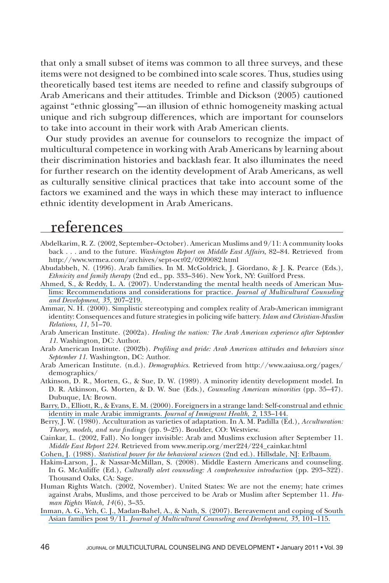that only a small subset of items was common to all three surveys, and these items were not designed to be combined into scale scores. Thus, studies using theoretically based test items are needed to refine and classify subgroups of Arab Americans and their attitudes. Trimble and Dickson (2005) cautioned against "ethnic glossing"—an illusion of ethnic homogeneity masking actual unique and rich subgroup differences, which are important for counselors to take into account in their work with Arab American clients.

Our study provides an avenue for counselors to recognize the impact of multicultural competence in working with Arab Americans by learning about their discrimination histories and backlash fear. It also illuminates the need for further research on the identity development of Arab Americans, as well as culturally sensitive clinical practices that take into account some of the factors we examined and the ways in which these may interact to influence ethnic identity development in Arab Americans.

### references

- Abdelkarim, R. Z. (2002, September–October). American Muslims and 9/11: A community looks back . . . and to the future. *Washington Report on Middle East Affairs,* 82–84. Retrieved from http://www.wrmea.com/archives/sept-oct02/0209082.html
- Abudabbeh, N. (1996). Arab families. In M. McGoldrick, J. Giordano, & J. K. Pearce (Eds.), *Ethnicity and family therapy* (2nd ed., pp. 333–346). New York, NY: Guilford Press.
- Ahmed, S., & Reddy, L. A. (2007). [Understanding](https://www.researchgate.net/publication/234679639_Understanding_the_Mental_Health_Needs_of_American_Muslims_Recommendations_and_Considerations_for_Practice?el=1_x_8&enrichId=rgreq-29529accd7580856cb485ae27c83c6c8-XXX&enrichSource=Y292ZXJQYWdlOzI2NDQ3MTIxMztBUzo0ODU0MDYxOTA5MDMyOTZAMTQ5Mjc0MTI2Mjk2Nw==) the mental health needs of American Muslims: Recommendations and considerations for practice. *[Journal of Multicultural Counseling](https://www.researchgate.net/publication/234679639_Understanding_the_Mental_Health_Needs_of_American_Muslims_Recommendations_and_Considerations_for_Practice?el=1_x_8&enrichId=rgreq-29529accd7580856cb485ae27c83c6c8-XXX&enrichSource=Y292ZXJQYWdlOzI2NDQ3MTIxMztBUzo0ODU0MDYxOTA5MDMyOTZAMTQ5Mjc0MTI2Mjk2Nw==)  [and Development, 35,](https://www.researchgate.net/publication/234679639_Understanding_the_Mental_Health_Needs_of_American_Muslims_Recommendations_and_Considerations_for_Practice?el=1_x_8&enrichId=rgreq-29529accd7580856cb485ae27c83c6c8-XXX&enrichSource=Y292ZXJQYWdlOzI2NDQ3MTIxMztBUzo0ODU0MDYxOTA5MDMyOTZAMTQ5Mjc0MTI2Mjk2Nw==)* 207–219.
- Ammar, N. H. (2000). Simplistic stereotyping and complex reality of Arab-American immigrant identity: Consequences and future strategies in policing wife battery. *Islam and Christian-Muslim Relations, 11,* 51–70.
- Arab American Institute. (2002a). *Healing the nation: The Arab American experience after September 11*. Washington, DC: Author.
- Arab American Institute. (2002b). *Profiling and pride: Arab American attitudes and behaviors since September 11*. Washington, DC: Author.
- Arab American Institute. (n.d.). *Demographics.* Retrieved from http://www.aaiusa.org/pages/ demographics/
- Atkinson, D. R., Morten, G., & Sue, D. W. (1989). A minority identity development model. In D. R. Atkinson, G. Morten, & D. W. Sue (Eds.), *Counseling American minorities* (pp. 35–47). Dubuque, IA: Brown.
- Barry, D., Elliott, R., & Evans, E. M. (2000). Foreigners in a strange land: [Self-construal](https://www.researchgate.net/publication/227086417_Foreigners_in_a_Strange_Land_Self-Construal_and_Ethnic_Identity_in_Male_Arabic_Immigrants?el=1_x_8&enrichId=rgreq-29529accd7580856cb485ae27c83c6c8-XXX&enrichSource=Y292ZXJQYWdlOzI2NDQ3MTIxMztBUzo0ODU0MDYxOTA5MDMyOTZAMTQ5Mjc0MTI2Mjk2Nw==) and ethnic identity in male Arabic immigrants. *[Journal of Immigrant Health, 2,](https://www.researchgate.net/publication/227086417_Foreigners_in_a_Strange_Land_Self-Construal_and_Ethnic_Identity_in_Male_Arabic_Immigrants?el=1_x_8&enrichId=rgreq-29529accd7580856cb485ae27c83c6c8-XXX&enrichSource=Y292ZXJQYWdlOzI2NDQ3MTIxMztBUzo0ODU0MDYxOTA5MDMyOTZAMTQ5Mjc0MTI2Mjk2Nw==)* 133–144.
- Berry, J. W. (1980). Acculturation as varieties of adaptation. In A. M. Padilla (Ed.), *Acculturation: Theory, models, and new findings* (pp. 9–25). Boulder, CO: Westview.
- Cainkar, L. (2002, Fall). No longer invisible: Arab and Muslims exclusion after September 11. *Middle East Report 224*. Retrieved from www.merip.org/mer224/224\_cainkar.html
- Cohen, J. (1988). *[Statistical power for the behavioral sciences](https://www.researchgate.net/publication/44847045_Statistical_power_ANALYSIS_for_the_Behavioral_sciences?el=1_x_8&enrichId=rgreq-29529accd7580856cb485ae27c83c6c8-XXX&enrichSource=Y292ZXJQYWdlOzI2NDQ3MTIxMztBUzo0ODU0MDYxOTA5MDMyOTZAMTQ5Mjc0MTI2Mjk2Nw==)* (2nd ed.). Hillsdale, NJ: Erlbaum.
- Hakim-Larson, J., & Nassar-McMillan, S. (2008). Middle Eastern Americans and counseling. In G. McAuliffe (Ed.), *Culturally alert counseling: A comprehensive introduction* (pp. 293–322). Thousand Oaks, CA: Sage.
- Human Rights Watch. (2002, November). United States: We are not the enemy; hate crimes against Arabs, Muslims, and those perceived to be Arab or Muslim after September 11. *Human Rights Watch, 14*(6), 3–35.
- Inman, A. G., Yeh, C. J., [Madan-Bahel,](https://www.researchgate.net/publication/232542749_Bereavement_and_Coping_of_south_Asian_Families_post_911?el=1_x_8&enrichId=rgreq-29529accd7580856cb485ae27c83c6c8-XXX&enrichSource=Y292ZXJQYWdlOzI2NDQ3MTIxMztBUzo0ODU0MDYxOTA5MDMyOTZAMTQ5Mjc0MTI2Mjk2Nw==) A., & Nath, S. (2007). Bereavement and coping of South Asian families post 9/11. *[Journal of Multicultural Counseling and Development, 35,](https://www.researchgate.net/publication/232542749_Bereavement_and_Coping_of_south_Asian_Families_post_911?el=1_x_8&enrichId=rgreq-29529accd7580856cb485ae27c83c6c8-XXX&enrichSource=Y292ZXJQYWdlOzI2NDQ3MTIxMztBUzo0ODU0MDYxOTA5MDMyOTZAMTQ5Mjc0MTI2Mjk2Nw==)* 101–115.